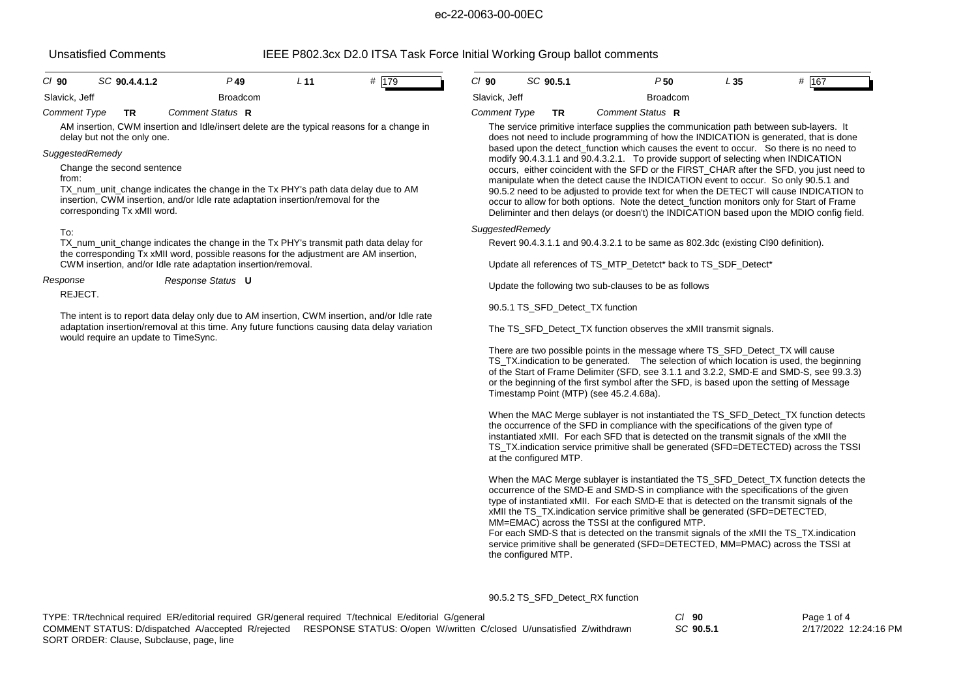| IEEE P802.3cx D2.0 ITSA Task Force Initial Working Group ballot comments<br><b>Unsatisfied Comments</b>                                                                                                                              |                                                           |                                                                                                                                                                               |                 |                                                       |                                                                   |                                                                                                                                                                                 |                                                                                                                                                                                                                                                                                                                                                                                                                                                                     |     |         |
|--------------------------------------------------------------------------------------------------------------------------------------------------------------------------------------------------------------------------------------|-----------------------------------------------------------|-------------------------------------------------------------------------------------------------------------------------------------------------------------------------------|-----------------|-------------------------------------------------------|-------------------------------------------------------------------|---------------------------------------------------------------------------------------------------------------------------------------------------------------------------------|---------------------------------------------------------------------------------------------------------------------------------------------------------------------------------------------------------------------------------------------------------------------------------------------------------------------------------------------------------------------------------------------------------------------------------------------------------------------|-----|---------|
| $Cl$ 90                                                                                                                                                                                                                              | SC 90.4.4.1.2                                             | $P$ 49                                                                                                                                                                        | L <sub>11</sub> | # 179                                                 | $CI$ 90                                                           | SC 90.5.1                                                                                                                                                                       | P50                                                                                                                                                                                                                                                                                                                                                                                                                                                                 | L35 | # $167$ |
| Slavick, Jeff                                                                                                                                                                                                                        |                                                           | <b>Broadcom</b>                                                                                                                                                               |                 |                                                       | Slavick, Jeff                                                     |                                                                                                                                                                                 | <b>Broadcom</b>                                                                                                                                                                                                                                                                                                                                                                                                                                                     |     |         |
| <b>Comment Type</b>                                                                                                                                                                                                                  | <b>TR</b>                                                 | Comment Status R                                                                                                                                                              |                 |                                                       | <b>Comment Type</b>                                               | <b>TR</b>                                                                                                                                                                       | Comment Status R                                                                                                                                                                                                                                                                                                                                                                                                                                                    |     |         |
| AM insertion, CWM insertion and Idle/insert delete are the typical reasons for a change in<br>delay but not the only one.                                                                                                            |                                                           |                                                                                                                                                                               |                 |                                                       |                                                                   | The service primitive interface supplies the communication path between sub-layers. It<br>does not need to include programming of how the INDICATION is generated, that is done |                                                                                                                                                                                                                                                                                                                                                                                                                                                                     |     |         |
|                                                                                                                                                                                                                                      | SuggestedRemedy                                           |                                                                                                                                                                               |                 |                                                       |                                                                   |                                                                                                                                                                                 | based upon the detect function which causes the event to occur. So there is no need to<br>modify 90.4.3.1.1 and 90.4.3.2.1. To provide support of selecting when INDICATION                                                                                                                                                                                                                                                                                         |     |         |
| from:                                                                                                                                                                                                                                | Change the second sentence<br>corresponding Tx xMII word. | TX_num_unit_change indicates the change in the Tx PHY's path data delay due to AM<br>insertion, CWM insertion, and/or Idle rate adaptation insertion/removal for the          |                 |                                                       |                                                                   |                                                                                                                                                                                 | occurs, either coincident with the SFD or the FIRST_CHAR after the SFD, you just need to<br>manipulate when the detect cause the INDICATION event to occur. So only 90.5.1 and<br>90.5.2 need to be adjusted to provide text for when the DETECT will cause INDICATION to<br>occur to allow for both options. Note the detect function monitors only for Start of Frame<br>Deliminter and then delays (or doesn't) the INDICATION based upon the MDIO config field. |     |         |
| To:                                                                                                                                                                                                                                  |                                                           |                                                                                                                                                                               |                 |                                                       |                                                                   | SuggestedRemedy                                                                                                                                                                 |                                                                                                                                                                                                                                                                                                                                                                                                                                                                     |     |         |
|                                                                                                                                                                                                                                      |                                                           | TX_num_unit_change indicates the change in the Tx PHY's transmit path data delay for<br>the corresponding Tx xMII word, possible reasons for the adjustment are AM insertion, |                 |                                                       |                                                                   |                                                                                                                                                                                 | Revert 90.4.3.1.1 and 90.4.3.2.1 to be same as 802.3dc (existing Cl90 definition).                                                                                                                                                                                                                                                                                                                                                                                  |     |         |
|                                                                                                                                                                                                                                      |                                                           | CWM insertion, and/or Idle rate adaptation insertion/removal.                                                                                                                 |                 |                                                       |                                                                   |                                                                                                                                                                                 | Update all references of TS MTP Detetct* back to TS SDF Detect*                                                                                                                                                                                                                                                                                                                                                                                                     |     |         |
|                                                                                                                                                                                                                                      | Response<br>Response Status U<br>REJECT.                  |                                                                                                                                                                               |                 | Update the following two sub-clauses to be as follows |                                                                   |                                                                                                                                                                                 |                                                                                                                                                                                                                                                                                                                                                                                                                                                                     |     |         |
|                                                                                                                                                                                                                                      |                                                           |                                                                                                                                                                               |                 |                                                       |                                                                   | 90.5.1 TS SFD Detect TX function                                                                                                                                                |                                                                                                                                                                                                                                                                                                                                                                                                                                                                     |     |         |
| The intent is to report data delay only due to AM insertion, CWM insertion, and/or Idle rate<br>adaptation insertion/removal at this time. Any future functions causing data delay variation<br>would require an update to TimeSync. |                                                           |                                                                                                                                                                               |                 |                                                       | The TS_SFD_Detect_TX function observes the xMII transmit signals. |                                                                                                                                                                                 |                                                                                                                                                                                                                                                                                                                                                                                                                                                                     |     |         |
|                                                                                                                                                                                                                                      |                                                           |                                                                                                                                                                               |                 |                                                       |                                                                   |                                                                                                                                                                                 | There are two possible points in the message where TS_SFD_Detect_TX will cause<br>TS_TX.indication to be generated. The selection of which location is used, the beginning<br>of the Start of Frame Delimiter (SFD, see 3.1.1 and 3.2.2, SMD-E and SMD-S, see 99.3.3)<br>or the beginning of the first symbol after the SFD, is based upon the setting of Message<br>Timestamp Point (MTP) (see 45.2.4.68a).                                                        |     |         |
|                                                                                                                                                                                                                                      |                                                           |                                                                                                                                                                               |                 |                                                       |                                                                   |                                                                                                                                                                                 | When the MAC Merge sublayer is not instantiated the TS_SFD_Detect_TX function detects<br>the occurrence of the SFD in compliance with the specifications of the given type of                                                                                                                                                                                                                                                                                       |     |         |

the occurrence of the SFD in compliance with the specifications of the given type of instantiated xMII. For each SFD that is detected on the transmit signals of the xMII the TS\_TX.indication service primitive shall be generated (SFD=DETECTED) across the TSSI at the configured MTP.

When the MAC Merge sublayer is instantiated the TS\_SFD\_Detect\_TX function detects the occurrence of the SMD-E and SMD-S in compliance with the specifications of the given type of instantiated xMII. For each SMD-E that is detected on the transmit signals of the xMII the TS\_TX.indication service primitive shall be generated (SFD=DETECTED, MM=EMAC) across the TSSI at the configured MTP.

For each SMD-S that is detected on the transmit signals of the xMII the TS\_TX.indication service primitive shall be generated (SFD=DETECTED, MM=PMAC) across the TSSI at the configured MTP.

90.5.2 TS\_SFD\_Detect\_RX function

| TYPE: TR/technical required ER/editorial required GR/general required T/technical E/editorial G/general | $Cl$ 90                                                                                                                 | Page 1 of 4 |                       |
|---------------------------------------------------------------------------------------------------------|-------------------------------------------------------------------------------------------------------------------------|-------------|-----------------------|
|                                                                                                         | COMMENT STATUS: D/dispatched A/accepted R/rejected RESPONSE STATUS: O/open W/written C/closed U/unsatisfied Z/withdrawn | SC 90.5.1   | 2/17/2022 12:24:16 PM |
| SORT ORDER: Clause, Subclause, page, line                                                               |                                                                                                                         |             |                       |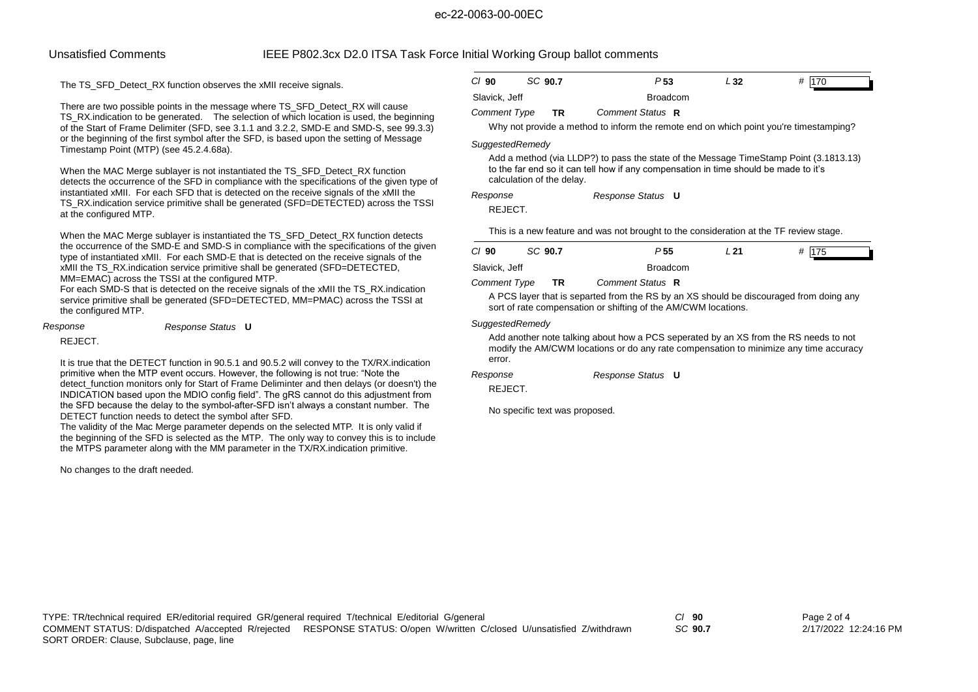# Unsatisfied Comments IEEE P802.3cx D2.0 ITSA Task Force Initial Working Group ballot comments

The TS\_SFD\_Detect\_RX function observes the xMII receive signals.

There are two possible points in the message where TS\_SFD\_Detect\_RX will cause TS\_RX.indication to be generated. The selection of which location is used, the beginning of the Start of Frame Delimiter (SFD, see 3.1.1 and 3.2.2, SMD-E and SMD-S, see 99.3.3) or the beginning of the first symbol after the SFD, is based upon the setting of Message Timestamp Point (MTP) (see 45.2.4.68a).

When the MAC Merge sublayer is not instantiated the TS\_SFD\_Detect\_RX function detects the occurrence of the SFD in compliance with the specifications of the given type of instantiated xMII. For each SFD that is detected on the receive signals of the xMII the TS\_RX.indication service primitive shall be generated (SFD=DETECTED) across the TSSI at the configured MTP.

When the MAC Merge sublayer is instantiated the TS\_SFD\_Detect\_RX function detects the occurrence of the SMD-E and SMD-S in compliance with the specifications of the given type of instantiated xMII. For each SMD-E that is detected on the receive signals of the xMII the TS\_RX.indication service primitive shall be generated (SFD=DETECTED, MM=EMAC) across the TSSI at the configured MTP.

For each SMD-S that is detected on the receive signals of the xMII the TS\_RX.indication service primitive shall be generated (SFD=DETECTED, MM=PMAC) across the TSSI at the configured MTP.

*Response Response Status* **U**

REJECT.

 It is true that the DETECT function in 90.5.1 and 90.5.2 will convey to the TX/RX.indication primitive when the MTP event occurs. However, the following is not true: "Note the detect function monitors only for Start of Frame Deliminter and then delays (or doesn't) the INDICATION based upon the MDIO config field". The gRS cannot do this adjustment from the SFD because the delay to the symbol-after-SFD isn't always a constant number. The DETECT function needs to detect the symbol after SFD.

 The validity of the Mac Merge parameter depends on the selected MTP. It is only valid if the beginning of the SFD is selected as the MTP. The only way to convey this is to include the MTPS parameter along with the MM parameter in the TX/RX.indication primitive.

No changes to the draft needed.

| $Cl$ 90       | SC 90.7 | P <sub>53</sub> | L 32 | # 170 |
|---------------|---------|-----------------|------|-------|
| Slavick, Jeff |         | Broadcom        |      |       |

## *Comment Type* **TR** *Comment Status* **R**

Why not provide a method to inform the remote end on which point you're timestamping?

## *SuggestedRemedy*

Add a method (via LLDP?) to pass the state of the Message TimeStamp Point (3.1813.13) to the far end so it can tell how if any compensation in time should be made to it's calculation of the delay.

*Response Status* **U** *Response*

REJECT.

This is a new feature and was not brought to the consideration at the TF review stage.

| $CI$ 90             | SC 90.7 | P 55             | L 21 | # 175 |
|---------------------|---------|------------------|------|-------|
| Slavick, Jeff       |         | <b>Broadcom</b>  |      |       |
| <b>Comment Type</b> | ΤR      | Comment Status R |      |       |

A PCS layer that is separted from the RS by an XS should be discouraged from doing any sort of rate compensation or shifting of the AM/CWM locations.

## *SuggestedRemedy*

Add another note talking about how a PCS seperated by an XS from the RS needs to not modify the AM/CWM locations or do any rate compensation to minimize any time accuracy error.

*Response Status* **U** *Response*

REJECT.

No specific text was proposed.

TYPE: TR/technical required ER/editorial required GR/general required T/technical E/editorial G/general *Cl* **90** SORT ORDER: Clause, Subclause, page, line COMMENT STATUS: D/dispatched A/accepted R/rejected RESPONSE STATUS: O/open W/written C/closed U/unsatisfied Z/withdrawn

*SC* **90.7**

Page 2 of 4 2/17/2022 12:24:16 PM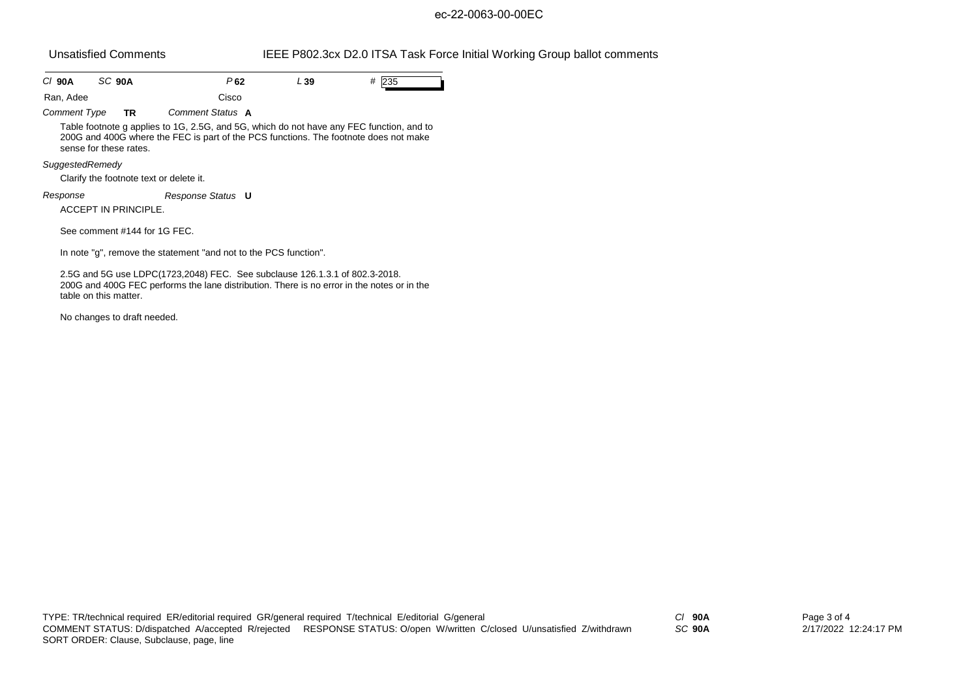# Unsatisfied Comments IEEE P802.3cx D2.0 ITSA Task Force Initial Working Group ballot comments

| C/90A               | SC 90A                                  | P62                                                                                                                                                                              | L 39 | # 235 |
|---------------------|-----------------------------------------|----------------------------------------------------------------------------------------------------------------------------------------------------------------------------------|------|-------|
| Ran, Adee           |                                         | Cisco                                                                                                                                                                            |      |       |
| <b>Comment Type</b> | <b>TR</b>                               | Comment Status A                                                                                                                                                                 |      |       |
|                     | sense for these rates.                  | Table footnote g applies to 1G, 2.5G, and 5G, which do not have any FEC function, and to<br>200G and 400G where the FEC is part of the PCS functions. The footnote does not make |      |       |
| SuggestedRemedy     |                                         |                                                                                                                                                                                  |      |       |
|                     | Clarify the footnote text or delete it. |                                                                                                                                                                                  |      |       |
| Response            | ACCEPT IN PRINCIPLE.                    | Response Status <b>U</b>                                                                                                                                                         |      |       |
|                     | See comment #144 for 1G FEC.            |                                                                                                                                                                                  |      |       |
|                     |                                         | In note "q", remove the statement "and not to the PCS function".                                                                                                                 |      |       |
|                     |                                         | 2.5G and 5G use LDPC(1723,2048) FEC. See subclause 126.1.3.1 of 802.3-2018.<br>200G and 400G FEC performs the lane distribution. There is no error in the notes or in the        |      |       |

No changes to draft needed.

table on this matter.

*SC* **90A**

Page 3 of 4 2/17/2022 12:24:17 PM